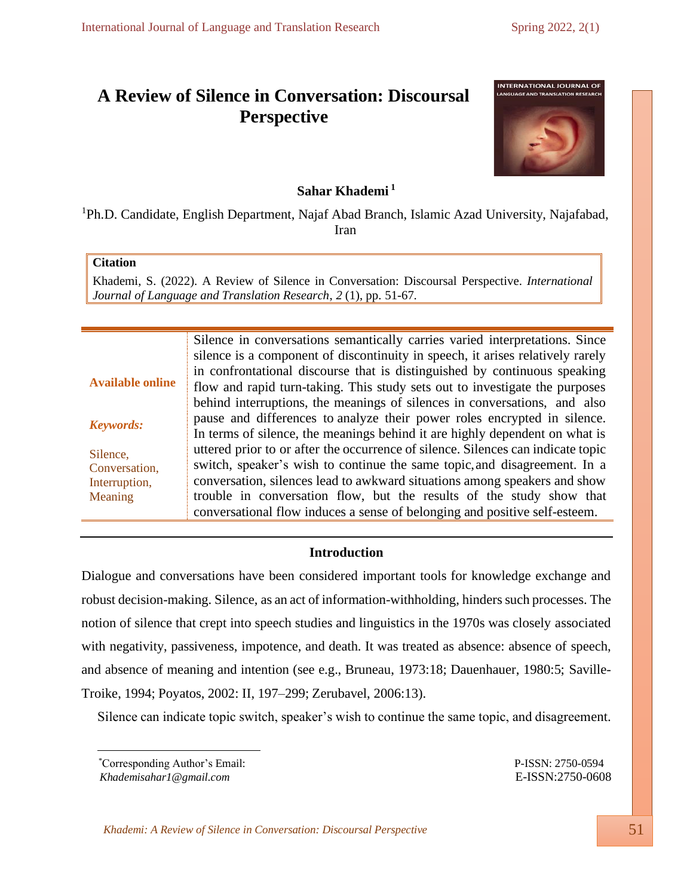# **A Review of Silence in Conversation: Discoursal Perspective**



## **Sahar Khademi <sup>1</sup>**

<sup>1</sup>Ph.D. Candidate, English Department, Najaf Abad Branch, Islamic Azad University, Najafabad, Iran

## **Citation**

Khademi, S. (2022). A Review of Silence in Conversation: Discoursal Perspective. *International Journal of Language and Translation Research*, *2* (1), pp. 51-67.

|                         | Silence in conversations semantically carries varied interpretations. Since      |
|-------------------------|----------------------------------------------------------------------------------|
|                         | silence is a component of discontinuity in speech, it arises relatively rarely   |
| <b>Available online</b> | in confrontational discourse that is distinguished by continuous speaking        |
|                         | flow and rapid turn-taking. This study sets out to investigate the purposes      |
|                         | behind interruptions, the meanings of silences in conversations, and also        |
| <b>Keywords:</b>        | pause and differences to analyze their power roles encrypted in silence.         |
|                         | In terms of silence, the meanings behind it are highly dependent on what is      |
| Silence,                | uttered prior to or after the occurrence of silence. Silences can indicate topic |
| Conversation,           | switch, speaker's wish to continue the same topic, and disagreement. In a        |
| Interruption,           | conversation, silences lead to awkward situations among speakers and show        |
| Meaning                 | trouble in conversation flow, but the results of the study show that             |
|                         | conversational flow induces a sense of belonging and positive self-esteem.       |

## **Introduction**

Dialogue and conversations have been considered important tools for knowledge exchange and robust decision-making. Silence, as an act of information-withholding, hinders such processes. The notion of silence that crept into speech studies and linguistics in the 1970s was closely associated with negativity, passiveness, impotence, and death. It was treated as absence: absence of speech, and absence of meaning and intention (see e.g., Bruneau, 1973:18; Dauenhauer, 1980:5; Saville-Troike, 1994; Poyatos, 2002: II, 197–299; Zerubavel, 2006:13).

Silence can indicate topic switch, speaker's wish to continue the same topic, and disagreement.

*Khademisahar1@gmail.com* E-ISSN:2750-0608

*Khademi: A Review of Silence in Conversation: Discoursal Perspective* 51

<sup>\*</sup>Corresponding Author's Email: P-ISSN: 2750-0594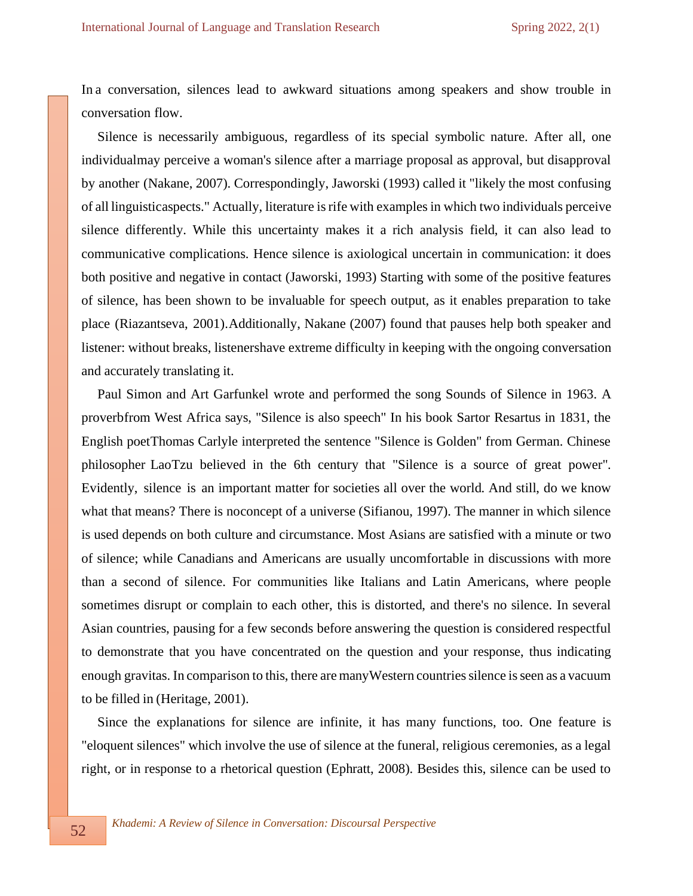In a conversation, silences lead to awkward situations among speakers and show trouble in conversation flow.

Silence is necessarily ambiguous, regardless of its special symbolic nature. After all, one individualmay perceive a woman's silence after a marriage proposal as approval, but disapproval by another (Nakane, 2007). Correspondingly, Jaworski (1993) called it "likely the most confusing of all linguisticaspects." Actually, literature is rife with examples in which two individuals perceive silence differently. While this uncertainty makes it a rich analysis field, it can also lead to communicative complications. Hence silence is axiological uncertain in communication: it does both positive and negative in contact (Jaworski, 1993) Starting with some of the positive features of silence, has been shown to be invaluable for speech output, as it enables preparation to take place (Riazantseva, 2001).Additionally, Nakane (2007) found that pauses help both speaker and listener: without breaks, listenershave extreme difficulty in keeping with the ongoing conversation and accurately translating it.

Paul Simon and Art Garfunkel wrote and performed the song Sounds of Silence in 1963. A proverbfrom West Africa says, "Silence is also speech" In his book Sartor Resartus in 1831, the English poetThomas Carlyle interpreted the sentence "Silence is Golden" from German. Chinese philosopher LaoTzu believed in the 6th century that "Silence is a source of great power". Evidently, silence is an important matter for societies all over the world. And still, do we know what that means? There is noconcept of a universe (Sifianou, 1997). The manner in which silence is used depends on both culture and circumstance. Most Asians are satisfied with a minute or two of silence; while Canadians and Americans are usually uncomfortable in discussions with more than a second of silence. For communities like Italians and Latin Americans, where people sometimes disrupt or complain to each other, this is distorted, and there's no silence. In several Asian countries, pausing for a few seconds before answering the question is considered respectful to demonstrate that you have concentrated on the question and your response, thus indicating enough gravitas. In comparison to this, there are manyWestern countriessilence isseen as a vacuum to be filled in (Heritage, 2001).

Since the explanations for silence are infinite, it has many functions, too. One feature is "eloquent silences" which involve the use of silence at the funeral, religious ceremonies, as a legal right, or in response to a rhetorical question (Ephratt, 2008). Besides this, silence can be used to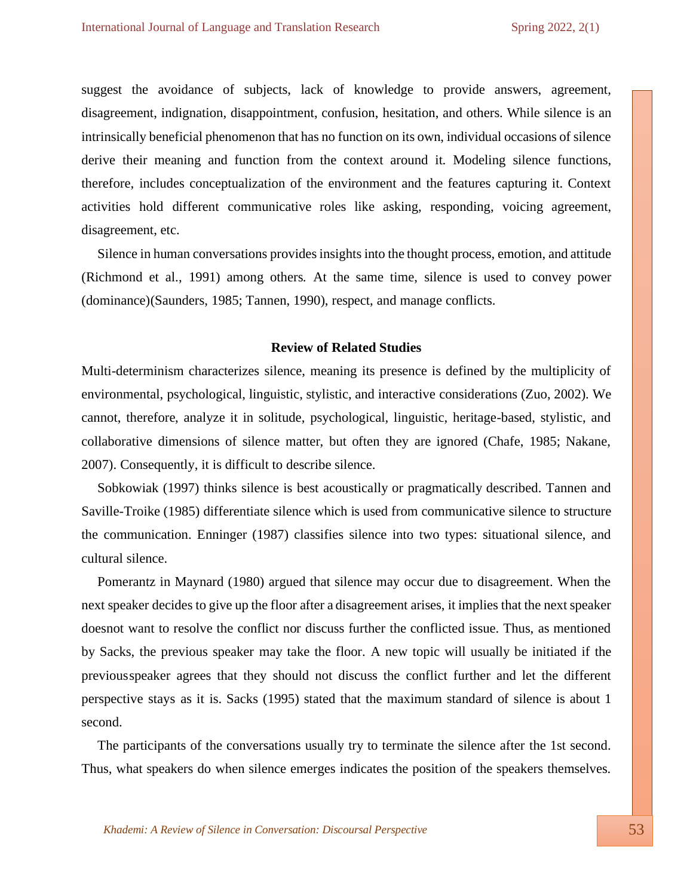suggest the avoidance of subjects, lack of knowledge to provide answers, agreement, disagreement, indignation, disappointment, confusion, hesitation, and others. While silence is an intrinsically beneficial phenomenon that has no function on its own, individual occasions of silence derive their meaning and function from the context around it. Modeling silence functions, therefore, includes conceptualization of the environment and the features capturing it. Context activities hold different communicative roles like asking, responding, voicing agreement, disagreement, etc.

Silence in human conversations provides insights into the thought process, emotion, and attitude (Richmond et al., 1991) among others. At the same time, silence is used to convey power (dominance)(Saunders, 1985; Tannen, 1990), respect, and manage conflicts.

#### **Review of Related Studies**

Multi-determinism characterizes silence, meaning its presence is defined by the multiplicity of environmental, psychological, linguistic, stylistic, and interactive considerations (Zuo, 2002). We cannot, therefore, analyze it in solitude, psychological, linguistic, heritage-based, stylistic, and collaborative dimensions of silence matter, but often they are ignored (Chafe, 1985; Nakane, 2007). Consequently, it is difficult to describe silence.

Sobkowiak (1997) thinks silence is best acoustically or pragmatically described. Tannen and Saville-Troike (1985) differentiate silence which is used from communicative silence to structure the communication. Enninger (1987) classifies silence into two types: situational silence, and cultural silence.

Pomerantz in Maynard (1980) argued that silence may occur due to disagreement. When the next speaker decides to give up the floor after a disagreement arises, it implies that the next speaker doesnot want to resolve the conflict nor discuss further the conflicted issue. Thus, as mentioned by Sacks, the previous speaker may take the floor. A new topic will usually be initiated if the previousspeaker agrees that they should not discuss the conflict further and let the different perspective stays as it is. Sacks (1995) stated that the maximum standard of silence is about 1 second.

The participants of the conversations usually try to terminate the silence after the 1st second. Thus, what speakers do when silence emerges indicates the position of the speakers themselves.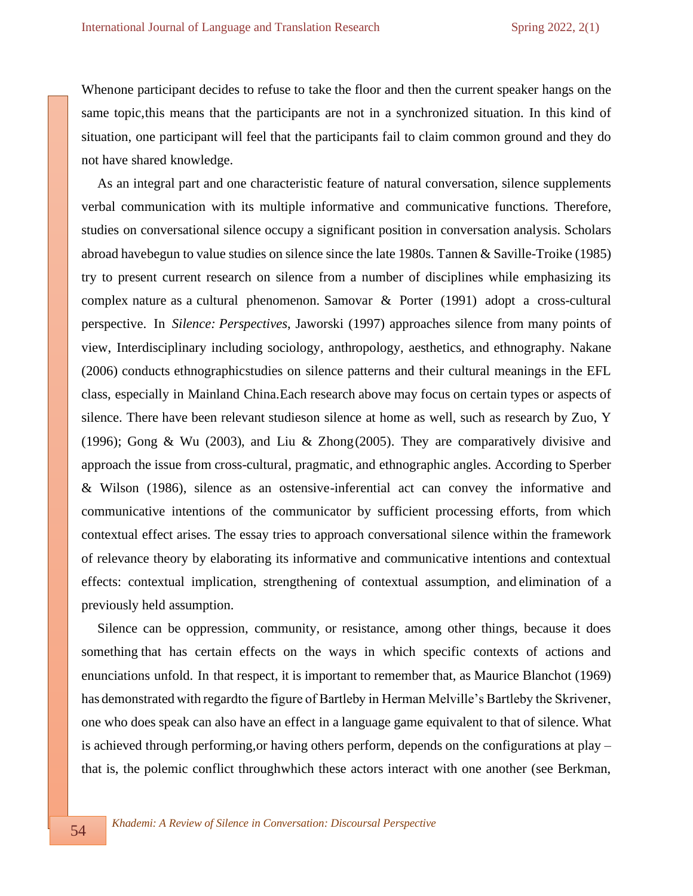Whenone participant decides to refuse to take the floor and then the current speaker hangs on the same topic,this means that the participants are not in a synchronized situation. In this kind of situation, one participant will feel that the participants fail to claim common ground and they do not have shared knowledge.

As an integral part and one characteristic feature of natural conversation, silence supplements verbal communication with its multiple informative and communicative functions. Therefore, studies on conversational silence occupy a significant position in conversation analysis. Scholars abroad havebegun to value studies on silence since the late 1980s. Tannen & Saville-Troike (1985) try to present current research on silence from a number of disciplines while emphasizing its complex nature as a cultural phenomenon. Samovar & Porter (1991) adopt a cross-cultural perspective. In *Silence: Perspectives*, Jaworski (1997) approaches silence from many points of view, Interdisciplinary including sociology, anthropology, aesthetics, and ethnography. Nakane (2006) conducts ethnographicstudies on silence patterns and their cultural meanings in the EFL class, especially in Mainland China.Each research above may focus on certain types or aspects of silence. There have been relevant studieson silence at home as well, such as research by Zuo, Y (1996); Gong & Wu (2003), and Liu & Zhong(2005). They are comparatively divisive and approach the issue from cross-cultural, pragmatic, and ethnographic angles. According to Sperber & Wilson (1986), silence as an ostensive-inferential act can convey the informative and communicative intentions of the communicator by sufficient processing efforts, from which contextual effect arises. The essay tries to approach conversational silence within the framework of relevance theory by elaborating its informative and communicative intentions and contextual effects: contextual implication, strengthening of contextual assumption, and elimination of a previously held assumption.

Silence can be oppression, community, or resistance, among other things, because it does something that has certain effects on the ways in which specific contexts of actions and enunciations unfold. In that respect, it is important to remember that, as Maurice Blanchot (1969) has demonstrated with regardto the figure of Bartleby in Herman Melville's Bartleby the Skrivener, one who does speak can also have an effect in a language game equivalent to that of silence. What is achieved through performing,or having others perform, depends on the configurations at play – that is, the polemic conflict throughwhich these actors interact with one another (see Berkman,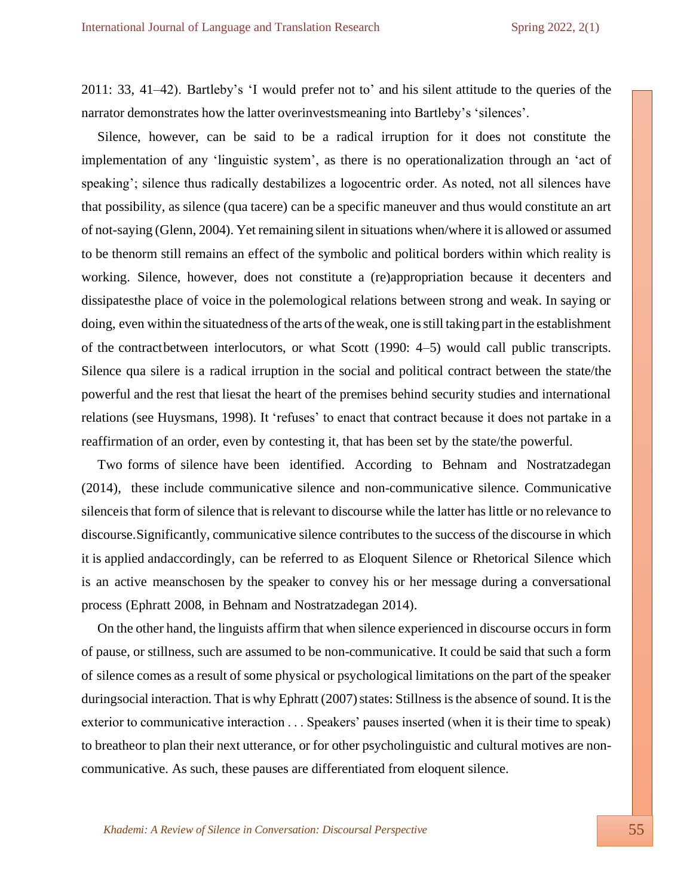2011: 33, 41–42). Bartleby's 'I would prefer not to' and his silent attitude to the queries of the narrator demonstrates how the latter overinvestsmeaning into Bartleby's 'silences'.

Silence, however, can be said to be a radical irruption for it does not constitute the implementation of any 'linguistic system', as there is no operationalization through an 'act of speaking'; silence thus radically destabilizes a logocentric order. As noted, not all silences have that possibility, as silence (qua tacere) can be a specific maneuver and thus would constitute an art of not-saying (Glenn, 2004). Yet remaining silent in situations when/where it is allowed or assumed to be thenorm still remains an effect of the symbolic and political borders within which reality is working. Silence, however, does not constitute a (re)appropriation because it decenters and dissipatesthe place of voice in the polemological relations between strong and weak. In saying or doing, even within the situatedness of the arts of theweak, one isstill taking part in the establishment of the contractbetween interlocutors, or what Scott (1990: 4–5) would call public transcripts. Silence qua silere is a radical irruption in the social and political contract between the state/the powerful and the rest that liesat the heart of the premises behind security studies and international relations (see Huysmans, 1998). It 'refuses' to enact that contract because it does not partake in a reaffirmation of an order, even by contesting it, that has been set by the state/the powerful.

Two forms of silence have been identified. According to Behnam and Nostratzadegan (2014), these include communicative silence and non-communicative silence. Communicative silenceisthat form of silence that isrelevant to discourse while the latter haslittle or no relevance to discourse.Significantly, communicative silence contributes to the success of the discourse in which it is applied andaccordingly, can be referred to as Eloquent Silence or Rhetorical Silence which is an active meanschosen by the speaker to convey his or her message during a conversational process (Ephratt 2008, in Behnam and Nostratzadegan 2014).

On the other hand, the linguists affirm that when silence experienced in discourse occursin form of pause, or stillness, such are assumed to be non-communicative. It could be said that such a form of silence comes as a result of some physical or psychological limitations on the part of the speaker duringsocial interaction. That is why Ephratt (2007) states: Stillness is the absence of sound. It is the exterior to communicative interaction . . . Speakers' pauses inserted (when it is their time to speak) to breatheor to plan their next utterance, or for other psycholinguistic and cultural motives are noncommunicative. As such, these pauses are differentiated from eloquent silence.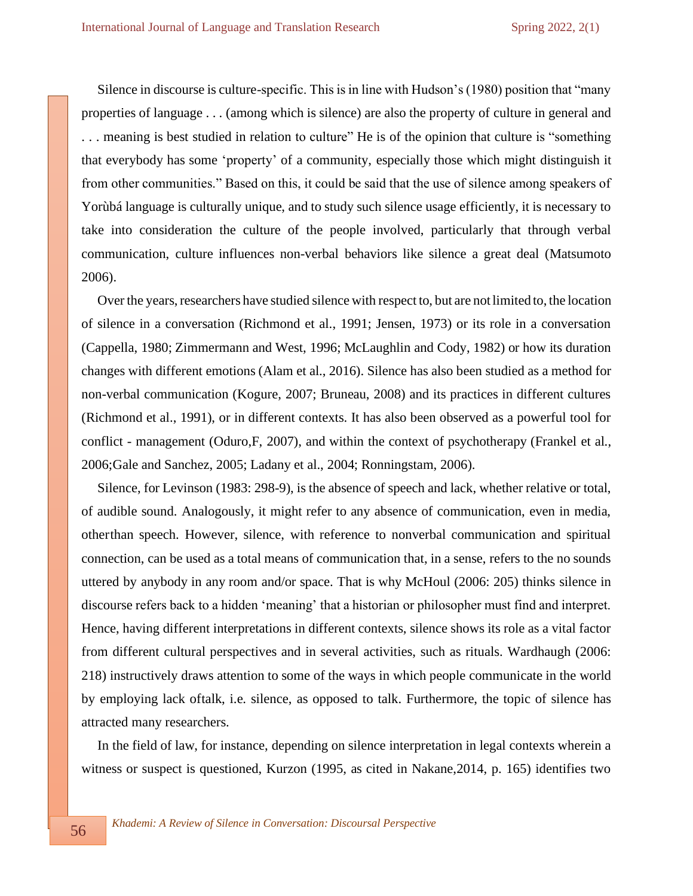Silence in discourse is culture-specific. This is in line with Hudson's (1980) position that "many properties of language . . . (among which is silence) are also the property of culture in general and . . . meaning is best studied in relation to culture" He is of the opinion that culture is "something that everybody has some 'property' of a community, especially those which might distinguish it from other communities." Based on this, it could be said that the use of silence among speakers of Yorùbá language is culturally unique, and to study such silence usage efficiently, it is necessary to take into consideration the culture of the people involved, particularly that through verbal communication, culture influences non-verbal behaviors like silence a great deal (Matsumoto 2006).

Over the years, researchers have studied silence with respect to, but are not limited to, the location of silence in a conversation (Richmond et al., 1991; Jensen, 1973) or its role in a conversation (Cappella, 1980; Zimmermann and West, 1996; McLaughlin and Cody, 1982) or how its duration changes with different emotions (Alam et al., 2016). Silence has also been studied as a method for non-verbal communication (Kogure, 2007; Bruneau, 2008) and its practices in different cultures (Richmond et al., 1991), or in different contexts. It has also been observed as a powerful tool for conflict - management (Oduro,F, 2007), and within the context of psychotherapy (Frankel et al., 2006;Gale and Sanchez, 2005; Ladany et al., 2004; Ronningstam, 2006).

Silence, for Levinson (1983: 298-9), is the absence of speech and lack, whether relative or total, of audible sound. Analogously, it might refer to any absence of communication, even in media, otherthan speech. However, silence, with reference to nonverbal communication and spiritual connection, can be used as a total means of communication that, in a sense, refers to the no sounds uttered by anybody in any room and/or space. That is why McHoul (2006: 205) thinks silence in discourse refers back to a hidden 'meaning' that a historian or philosopher must find and interpret. Hence, having different interpretations in different contexts, silence shows its role as a vital factor from different cultural perspectives and in several activities, such as rituals. Wardhaugh (2006: 218) instructively draws attention to some of the ways in which people communicate in the world by employing lack oftalk, i.e. silence, as opposed to talk. Furthermore, the topic of silence has attracted many researchers.

In the field of law, for instance, depending on silence interpretation in legal contexts wherein a witness or suspect is questioned, Kurzon (1995, as cited in Nakane,2014, p. 165) identifies two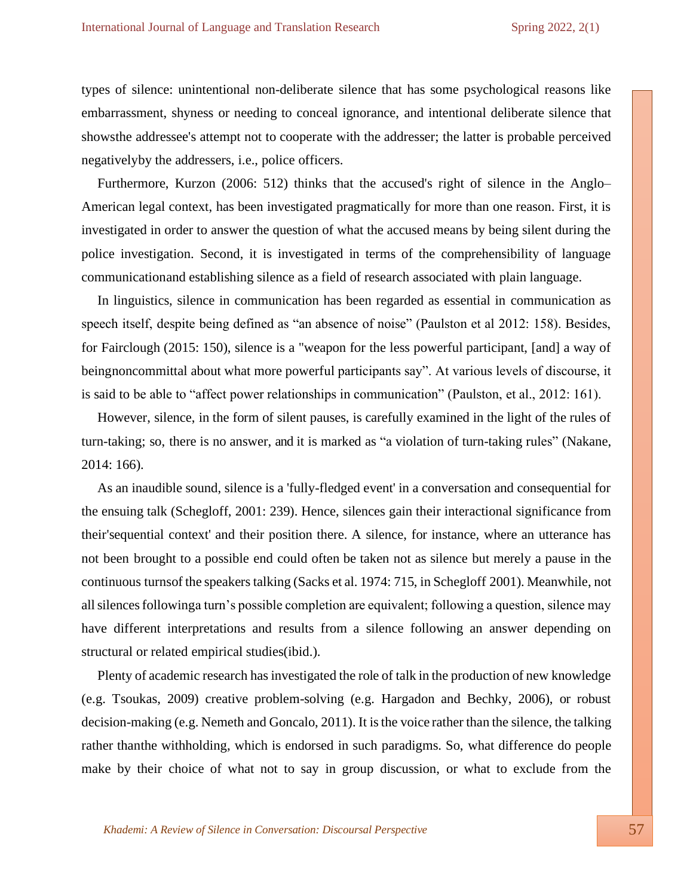types of silence: unintentional non-deliberate silence that has some psychological reasons like embarrassment, shyness or needing to conceal ignorance, and intentional deliberate silence that showsthe addressee's attempt not to cooperate with the addresser; the latter is probable perceived negativelyby the addressers, i.e., police officers.

Furthermore, Kurzon (2006: 512) thinks that the accused's right of silence in the Anglo– American legal context, has been investigated pragmatically for more than one reason. First, it is investigated in order to answer the question of what the accused means by being silent during the police investigation. Second, it is investigated in terms of the comprehensibility of language communicationand establishing silence as a field of research associated with plain language.

In linguistics, silence in communication has been regarded as essential in communication as speech itself, despite being defined as "an absence of noise" (Paulston et al 2012: 158). Besides, for Fairclough (2015: 150), silence is a "weapon for the less powerful participant, [and] a way of beingnoncommittal about what more powerful participants say". At various levels of discourse, it is said to be able to "affect power relationships in communication" (Paulston, et al., 2012: 161).

However, silence, in the form of silent pauses, is carefully examined in the light of the rules of turn-taking; so, there is no answer, and it is marked as "a violation of turn-taking rules" (Nakane, 2014: 166).

As an inaudible sound, silence is a 'fully-fledged event' in a conversation and consequential for the ensuing talk (Schegloff, 2001: 239). Hence, silences gain their interactional significance from their'sequential context' and their position there. A silence, for instance, where an utterance has not been brought to a possible end could often be taken not as silence but merely a pause in the continuous turnsof the speakers talking (Sacks et al. 1974: 715, in Schegloff 2001). Meanwhile, not allsilencesfollowinga turn's possible completion are equivalent; following a question, silence may have different interpretations and results from a silence following an answer depending on structural or related empirical studies(ibid.).

Plenty of academic research has investigated the role of talk in the production of new knowledge (e.g. Tsoukas, 2009) creative problem-solving (e.g. Hargadon and Bechky, 2006), or robust decision-making (e.g. Nemeth and Goncalo, 2011). It isthe voice rather than the silence, the talking rather thanthe withholding, which is endorsed in such paradigms. So, what difference do people make by their choice of what not to say in group discussion, or what to exclude from the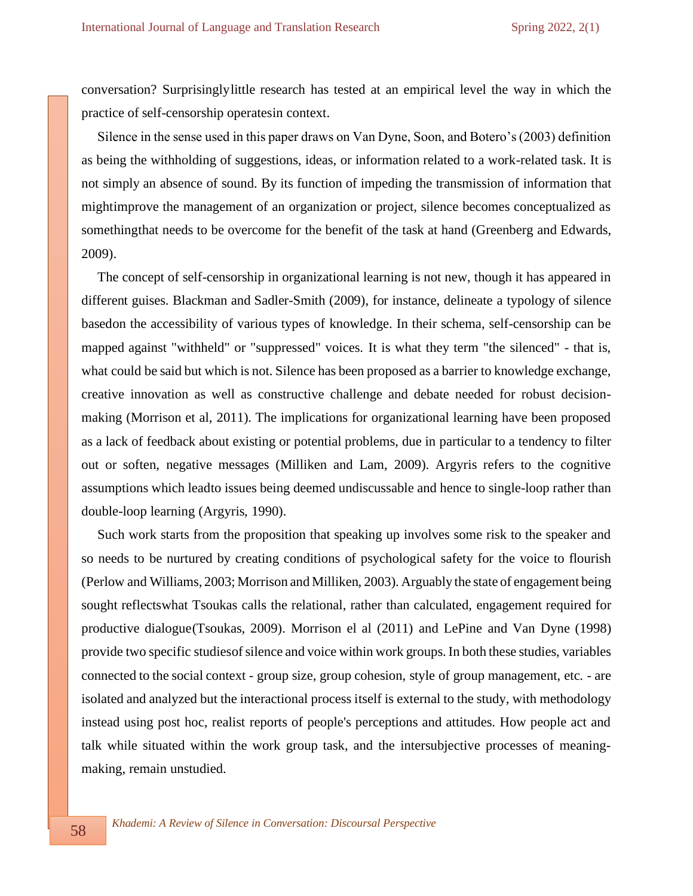conversation? Surprisinglylittle research has tested at an empirical level the way in which the practice of self-censorship operatesin context.

Silence in the sense used in this paper draws on Van Dyne, Soon, and Botero's (2003) definition as being the withholding of suggestions, ideas, or information related to a work-related task. It is not simply an absence of sound. By its function of impeding the transmission of information that mightimprove the management of an organization or project, silence becomes conceptualized as somethingthat needs to be overcome for the benefit of the task at hand (Greenberg and Edwards, 2009).

The concept of self-censorship in organizational learning is not new, though it has appeared in different guises. Blackman and Sadler-Smith (2009), for instance, delineate a typology of silence basedon the accessibility of various types of knowledge. In their schema, self-censorship can be mapped against "withheld" or "suppressed" voices. It is what they term "the silenced" - that is, what could be said but which is not. Silence has been proposed as a barrier to knowledge exchange, creative innovation as well as constructive challenge and debate needed for robust decisionmaking (Morrison et al, 2011). The implications for organizational learning have been proposed as a lack of feedback about existing or potential problems, due in particular to a tendency to filter out or soften, negative messages (Milliken and Lam, 2009). Argyris refers to the cognitive assumptions which leadto issues being deemed undiscussable and hence to single-loop rather than double-loop learning (Argyris, 1990).

Such work starts from the proposition that speaking up involves some risk to the speaker and so needs to be nurtured by creating conditions of psychological safety for the voice to flourish (Perlow and Williams, 2003; Morrison and Milliken, 2003). Arguably the state of engagement being sought reflectswhat Tsoukas calls the relational, rather than calculated, engagement required for productive dialogue(Tsoukas, 2009). Morrison el al (2011) and LePine and Van Dyne (1998) provide two specific studies of silence and voice within work groups. In both these studies, variables connected to the social context - group size, group cohesion, style of group management, etc. - are isolated and analyzed but the interactional process itself is external to the study, with methodology instead using post hoc, realist reports of people's perceptions and attitudes. How people act and talk while situated within the work group task, and the intersubjective processes of meaningmaking, remain unstudied.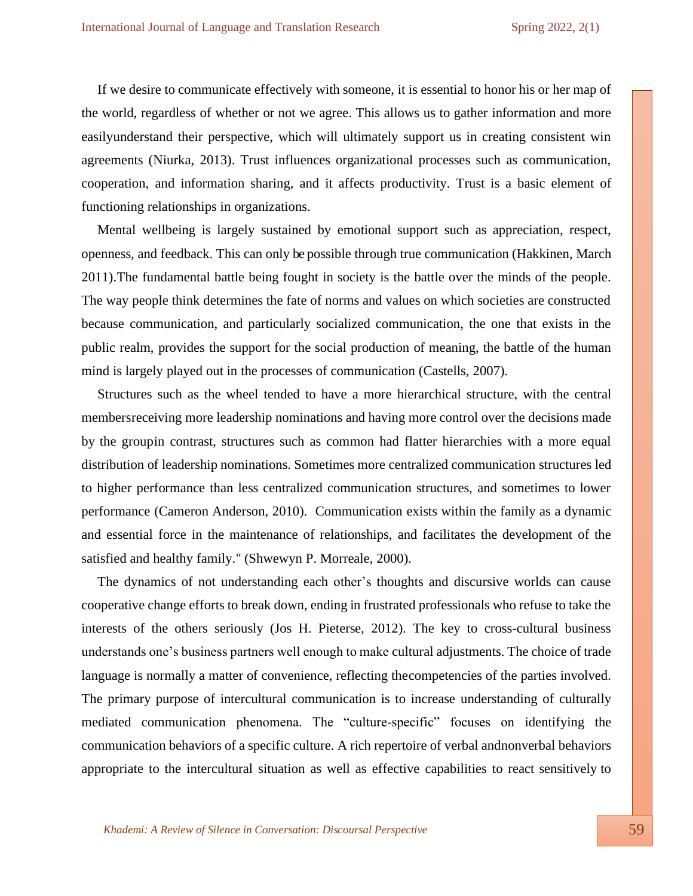If we desire to communicate effectively with someone, it is essential to honor his or her map of the world, regardless of whether or not we agree. This allows us to gather information and more easilyunderstand their perspective, which will ultimately support us in creating consistent win agreements (Niurka, 2013). Trust influences organizational processes such as communication, cooperation, and information sharing, and it affects productivity. Trust is a basic element of functioning relationships in organizations.

Mental wellbeing is largely sustained by emotional support such as appreciation, respect, openness, and feedback. This can only be possible through true communication (Hakkinen, March 2011).The fundamental battle being fought in society is the battle over the minds of the people. The way people think determines the fate of norms and values on which societies are constructed because communication, and particularly socialized communication, the one that exists in the public realm, provides the support for the social production of meaning, the battle of the human mind is largely played out in the processes of communication (Castells, 2007).

Structures such as the wheel tended to have a more hierarchical structure, with the central membersreceiving more leadership nominations and having more control over the decisions made by the groupin contrast, structures such as common had flatter hierarchies with a more equal distribution of leadership nominations. Sometimes more centralized communication structures led to higher performance than less centralized communication structures, and sometimes to lower performance (Cameron Anderson, 2010). Communication exists within the family as a dynamic and essential force in the maintenance of relationships, and facilitates the development of the satisfied and healthy family." (Shwewyn P. Morreale, 2000).

The dynamics of not understanding each other's thoughts and discursive worlds can cause cooperative change efforts to break down, ending in frustrated professionals who refuse to take the interests of the others seriously (Jos H. Pieterse, 2012). The key to cross-cultural business understands one's business partners well enough to make cultural adjustments. The choice of trade language is normally a matter of convenience, reflecting thecompetencies of the parties involved. The primary purpose of intercultural communication is to increase understanding of culturally mediated communication phenomena. The "culture-specific" focuses on identifying the communication behaviors of a specific culture. A rich repertoire of verbal andnonverbal behaviors appropriate to the intercultural situation as well as effective capabilities to react sensitively to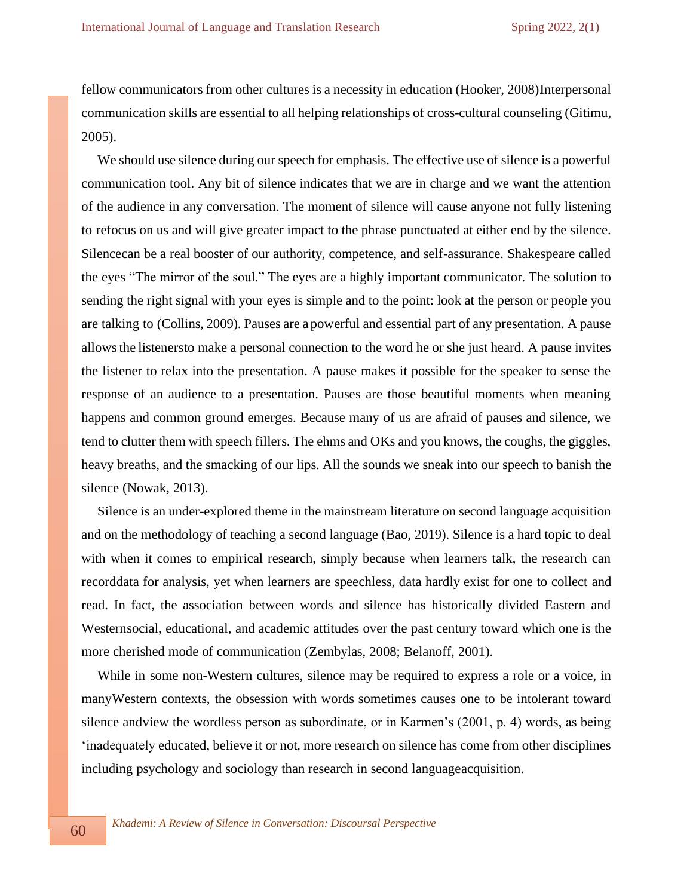fellow communicators from other cultures is a necessity in education (Hooker, 2008) Interpersonal communication skills are essential to all helping relationships of cross-cultural counseling (Gitimu, 2005).

We should use silence during our speech for emphasis. The effective use of silence is a powerful communication tool. Any bit of silence indicates that we are in charge and we want the attention of the audience in any conversation. The moment of silence will cause anyone not fully listening to refocus on us and will give greater impact to the phrase punctuated at either end by the silence. Silencecan be a real booster of our authority, competence, and self-assurance. Shakespeare called the eyes "The mirror of the soul." The eyes are a highly important communicator. The solution to sending the right signal with your eyes is simple and to the point: look at the person or people you are talking to (Collins, 2009). Pauses are a powerful and essential part of any presentation. A pause allowsthe listenersto make a personal connection to the word he or she just heard. A pause invites the listener to relax into the presentation. A pause makes it possible for the speaker to sense the response of an audience to a presentation. Pauses are those beautiful moments when meaning happens and common ground emerges. Because many of us are afraid of pauses and silence, we tend to clutter them with speech fillers. The ehms and OKs and you knows, the coughs, the giggles, heavy breaths, and the smacking of our lips. All the sounds we sneak into our speech to banish the silence (Nowak, 2013).

Silence is an under-explored theme in the mainstream literature on second language acquisition and on the methodology of teaching a second language (Bao, 2019). Silence is a hard topic to deal with when it comes to empirical research, simply because when learners talk, the research can recorddata for analysis, yet when learners are speechless, data hardly exist for one to collect and read. In fact, the association between words and silence has historically divided Eastern and Westernsocial, educational, and academic attitudes over the past century toward which one is the more cherished mode of communication (Zembylas, 2008; Belanoff, 2001).

While in some non-Western cultures, silence may be required to express a role or a voice, in manyWestern contexts, the obsession with words sometimes causes one to be intolerant toward silence andview the wordless person as subordinate, or in Karmen's (2001, p. 4) words, as being 'inadequately educated, believe it or not, more research on silence has come from other disciplines including psychology and sociology than research in second languageacquisition.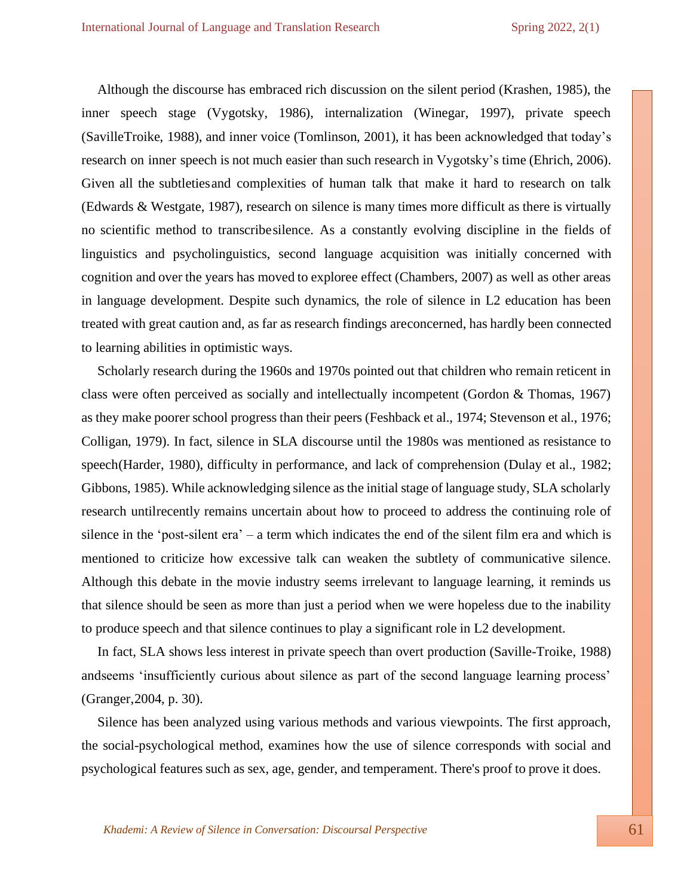Although the discourse has embraced rich discussion on the silent period (Krashen, 1985), the inner speech stage (Vygotsky, 1986), internalization (Winegar, 1997), private speech (SavilleTroike, 1988), and inner voice (Tomlinson, 2001), it has been acknowledged that today's research on inner speech is not much easier than such research in Vygotsky's time (Ehrich, 2006). Given all the subtletiesand complexities of human talk that make it hard to research on talk (Edwards & Westgate, 1987), research on silence is many times more difficult as there is virtually no scientific method to transcribesilence. As a constantly evolving discipline in the fields of linguistics and psycholinguistics, second language acquisition was initially concerned with cognition and over the years has moved to exploree effect (Chambers, 2007) as well as other areas in language development. Despite such dynamics, the role of silence in L2 education has been treated with great caution and, as far as research findings areconcerned, has hardly been connected to learning abilities in optimistic ways.

Scholarly research during the 1960s and 1970s pointed out that children who remain reticent in class were often perceived as socially and intellectually incompetent (Gordon & Thomas, 1967) as they make poorer school progress than their peers (Feshback et al., 1974; Stevenson et al., 1976; Colligan, 1979). In fact, silence in SLA discourse until the 1980s was mentioned as resistance to speech(Harder, 1980), difficulty in performance, and lack of comprehension (Dulay et al., 1982; Gibbons, 1985). While acknowledging silence as the initial stage of language study, SLA scholarly research untilrecently remains uncertain about how to proceed to address the continuing role of silence in the 'post-silent era' – a term which indicates the end of the silent film era and which is mentioned to criticize how excessive talk can weaken the subtlety of communicative silence. Although this debate in the movie industry seems irrelevant to language learning, it reminds us that silence should be seen as more than just a period when we were hopeless due to the inability to produce speech and that silence continues to play a significant role in L2 development.

In fact, SLA shows less interest in private speech than overt production (Saville-Troike, 1988) andseems 'insufficiently curious about silence as part of the second language learning process' (Granger,2004, p. 30).

Silence has been analyzed using various methods and various viewpoints. The first approach, the social-psychological method, examines how the use of silence corresponds with social and psychological features such as sex, age, gender, and temperament. There's proof to prove it does.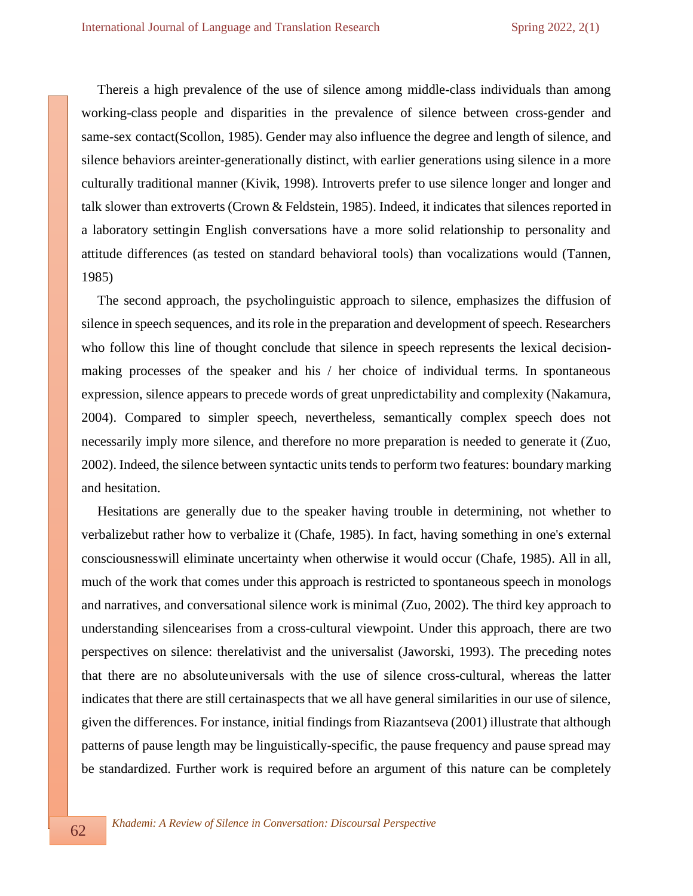Thereis a high prevalence of the use of silence among middle-class individuals than among working-class people and disparities in the prevalence of silence between cross-gender and same-sex contact(Scollon, 1985). Gender may also influence the degree and length of silence, and silence behaviors areinter-generationally distinct, with earlier generations using silence in a more culturally traditional manner (Kivik, 1998). Introverts prefer to use silence longer and longer and talk slower than extroverts (Crown & Feldstein, 1985). Indeed, it indicates that silences reported in a laboratory settingin English conversations have a more solid relationship to personality and attitude differences (as tested on standard behavioral tools) than vocalizations would (Tannen, 1985)

The second approach, the psycholinguistic approach to silence, emphasizes the diffusion of silence in speech sequences, and its role in the preparation and development of speech. Researchers who follow this line of thought conclude that silence in speech represents the lexical decisionmaking processes of the speaker and his / her choice of individual terms. In spontaneous expression, silence appears to precede words of great unpredictability and complexity (Nakamura, 2004). Compared to simpler speech, nevertheless, semantically complex speech does not necessarily imply more silence, and therefore no more preparation is needed to generate it (Zuo, 2002). Indeed, the silence between syntactic units tends to perform two features: boundary marking and hesitation.

Hesitations are generally due to the speaker having trouble in determining, not whether to verbalizebut rather how to verbalize it (Chafe, 1985). In fact, having something in one's external consciousnesswill eliminate uncertainty when otherwise it would occur (Chafe, 1985). All in all, much of the work that comes under this approach is restricted to spontaneous speech in monologs and narratives, and conversational silence work is minimal (Zuo, 2002). The third key approach to understanding silencearises from a cross-cultural viewpoint. Under this approach, there are two perspectives on silence: therelativist and the universalist (Jaworski, 1993). The preceding notes that there are no absoluteuniversals with the use of silence cross-cultural, whereas the latter indicates that there are still certainaspects that we all have general similarities in our use of silence, given the differences. For instance, initial findings from Riazantseva (2001) illustrate that although patterns of pause length may be linguistically-specific, the pause frequency and pause spread may be standardized. Further work is required before an argument of this nature can be completely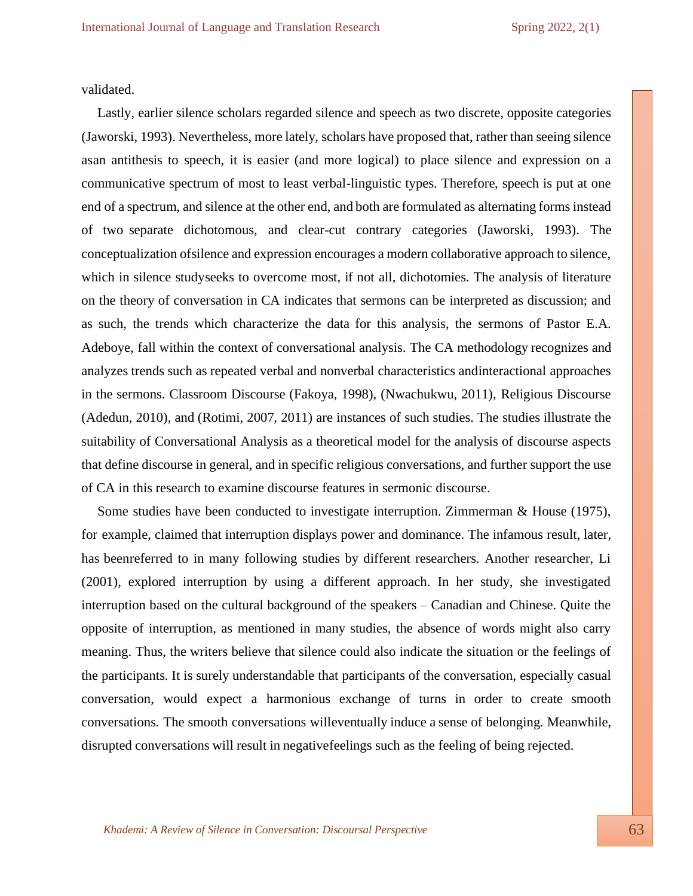validated.

Lastly, earlier silence scholars regarded silence and speech as two discrete, opposite categories (Jaworski, 1993). Nevertheless, more lately, scholars have proposed that, rather than seeing silence asan antithesis to speech, it is easier (and more logical) to place silence and expression on a communicative spectrum of most to least verbal-linguistic types. Therefore, speech is put at one end of a spectrum, and silence at the other end, and both are formulated as alternating forms instead of two separate dichotomous, and clear-cut contrary categories (Jaworski, 1993). The conceptualization ofsilence and expression encourages a modern collaborative approach to silence, which in silence studyseeks to overcome most, if not all, dichotomies. The analysis of literature on the theory of conversation in CA indicates that sermons can be interpreted as discussion; and as such, the trends which characterize the data for this analysis, the sermons of Pastor E.A. Adeboye, fall within the context of conversational analysis. The CA methodology recognizes and analyzes trends such as repeated verbal and nonverbal characteristics andinteractional approaches in the sermons. Classroom Discourse (Fakoya, 1998), (Nwachukwu, 2011), Religious Discourse (Adedun, 2010), and (Rotimi, 2007, 2011) are instances of such studies. The studies illustrate the suitability of Conversational Analysis as a theoretical model for the analysis of discourse aspects that define discourse in general, and in specific religious conversations, and further support the use of CA in this research to examine discourse features in sermonic discourse.

Some studies have been conducted to investigate interruption. Zimmerman & House (1975), for example, claimed that interruption displays power and dominance. The infamous result, later, has beenreferred to in many following studies by different researchers. Another researcher, Li (2001), explored interruption by using a different approach. In her study, she investigated interruption based on the cultural background of the speakers – Canadian and Chinese. Quite the opposite of interruption, as mentioned in many studies, the absence of words might also carry meaning. Thus, the writers believe that silence could also indicate the situation or the feelings of the participants. It is surely understandable that participants of the conversation, especially casual conversation, would expect a harmonious exchange of turns in order to create smooth conversations. The smooth conversations willeventually induce a sense of belonging. Meanwhile, disrupted conversations will result in negativefeelings such as the feeling of being rejected.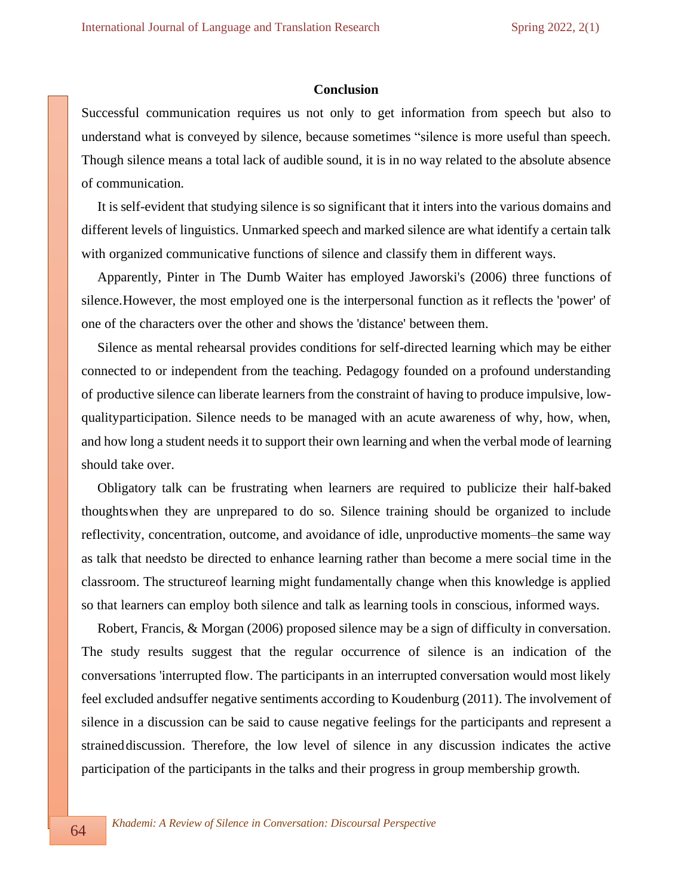## **Conclusion**

Successful communication requires us not only to get information from speech but also to understand what is conveyed by silence, because sometimes "silence is more useful than speech. Though silence means a total lack of audible sound, it is in no way related to the absolute absence of communication.

It is self-evident that studying silence is so significant that it inters into the various domains and different levels of linguistics. Unmarked speech and marked silence are what identify a certain talk with organized communicative functions of silence and classify them in different ways.

Apparently, Pinter in The Dumb Waiter has employed Jaworski's (2006) three functions of silence.However, the most employed one is the interpersonal function as it reflects the 'power' of one of the characters over the other and shows the 'distance' between them.

Silence as mental rehearsal provides conditions for self-directed learning which may be either connected to or independent from the teaching. Pedagogy founded on a profound understanding of productive silence can liberate learnersfrom the constraint of having to produce impulsive, lowqualityparticipation. Silence needs to be managed with an acute awareness of why, how, when, and how long a student needs it to support their own learning and when the verbal mode of learning should take over.

Obligatory talk can be frustrating when learners are required to publicize their half-baked thoughtswhen they are unprepared to do so. Silence training should be organized to include reflectivity, concentration, outcome, and avoidance of idle, unproductive moments–the same way as talk that needsto be directed to enhance learning rather than become a mere social time in the classroom. The structureof learning might fundamentally change when this knowledge is applied so that learners can employ both silence and talk as learning tools in conscious, informed ways.

Robert, Francis, & Morgan (2006) proposed silence may be a sign of difficulty in conversation. The study results suggest that the regular occurrence of silence is an indication of the conversations 'interrupted flow. The participants in an interrupted conversation would most likely feel excluded andsuffer negative sentiments according to Koudenburg (2011). The involvement of silence in a discussion can be said to cause negative feelings for the participants and represent a straineddiscussion. Therefore, the low level of silence in any discussion indicates the active participation of the participants in the talks and their progress in group membership growth.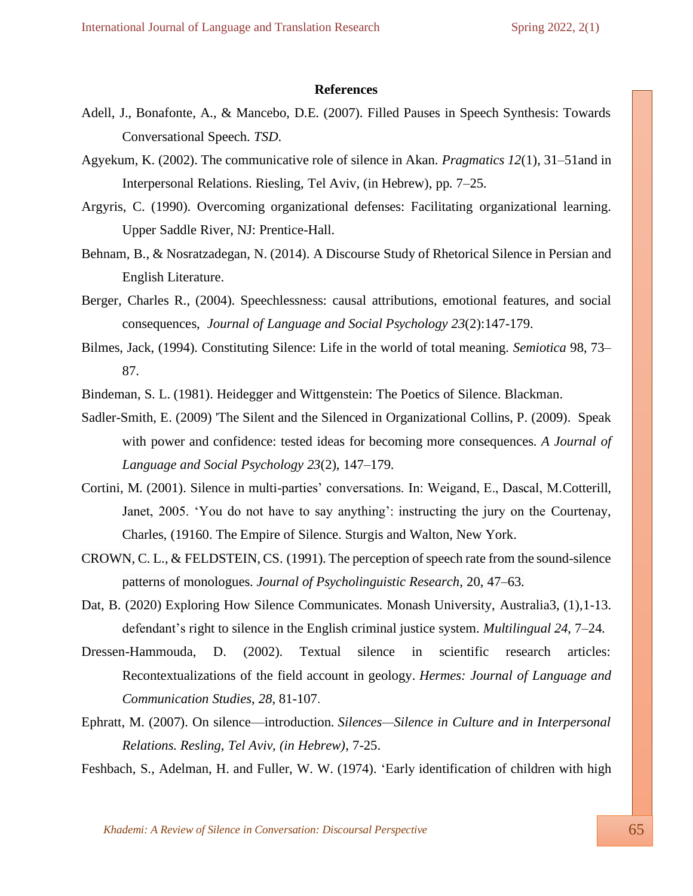### **References**

- Adell, J., Bonafonte, A., & Mancebo, D.E. (2007). Filled Pauses in Speech Synthesis: Towards Conversational Speech. *TSD*.
- Agyekum, K. (2002). The communicative role of silence in Akan. *Pragmatics 12*(1), 31–51and in Interpersonal Relations. Riesling, Tel Aviv, (in Hebrew), pp. 7–25.
- Argyris, C. (1990). Overcoming organizational defenses: Facilitating organizational learning. Upper Saddle River, NJ: Prentice-Hall.
- Behnam, B., & Nosratzadegan, N. (2014). A Discourse Study of Rhetorical Silence in Persian and English Literature.
- Berger, Charles R., (2004). Speechlessness: causal attributions, emotional features, and social consequences, *Journal of Language and Social [Psychology](https://www.researchgate.net/journal/Journal-of-Language-and-Social-Psychology-0261-927X) 23*(2):147-179.
- Bilmes, Jack, (1994). Constituting Silence: Life in the world of total meaning. *Semiotica* 98, 73– 87.
- .Bindeman, S. L. (1981). Heidegger and Wittgenstein: The Poetics of Silence. Blackman.
- Sadler-Smith, E. (2009) 'The Silent and the Silenced in Organizational Collins, P. (2009). Speak with power and confidence: tested ideas for becoming more consequences. *A Journal of Language and Social Psychology 23*(2), 147–179.
- Cortini, M. (2001). Silence in multi-parties' conversations. In: Weigand, E., Dascal, M.Cotterill, Janet, 2005. 'You do not have to say anything': instructing the jury on the Courtenay, Charles, (19160. The Empire of Silence. Sturgis and Walton, New York.
- CROWN, C. L., & FELDSTEIN, CS. (1991). The perception of speech rate from the sound-silence patterns of monologues. *Journal of Psycholinguistic Research*, 20, 47–63.
- Dat, B. (2020) Exploring How Silence Communicates. Monash University, Australia3, (1),1-13. defendant's right to silence in the English criminal justice system. *Multilingual 24*, 7–24.
- Dressen-Hammouda, D. (2002). Textual silence in scientific research articles: Recontextualizations of the field account in geology. *Hermes: Journal of Language and Communication Studies*, *28*, 81-107.
- Ephratt, M. (2007). On silence—introduction. *Silences—Silence in Culture and in Interpersonal Relations. Resling, Tel Aviv, (in Hebrew)*, 7-25.

Feshbach, S., Adelman, H. and Fuller, W. W. (1974). 'Early identification of children with high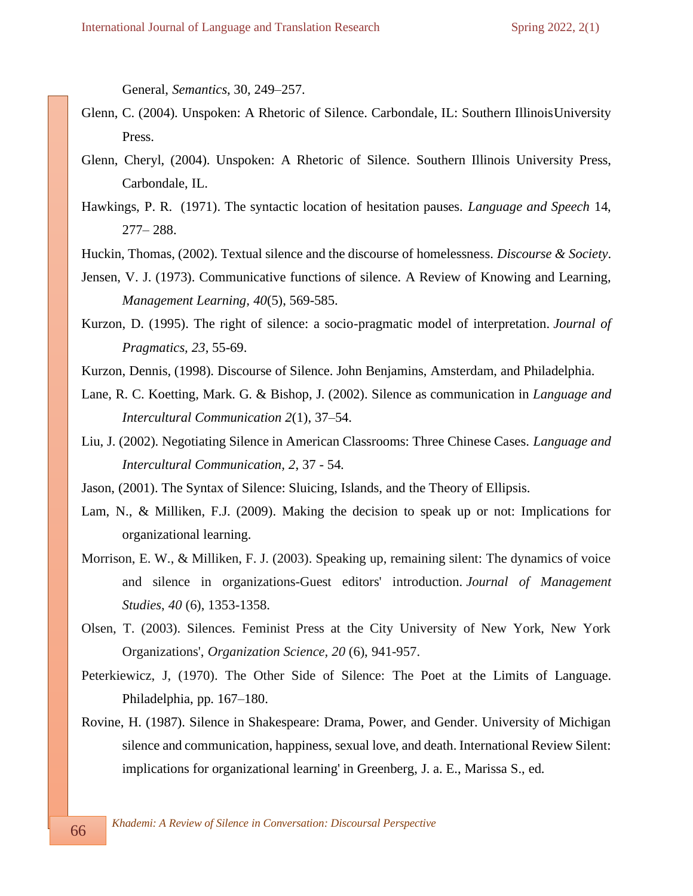General, *Semantics*, 30, 249–257.

- Glenn, C. (2004). Unspoken: A Rhetoric of Silence. Carbondale, IL: Southern IllinoisUniversity Press.
- Glenn, Cheryl, (2004). Unspoken: A Rhetoric of Silence. Southern Illinois University Press, Carbondale, IL.
- Hawkings, P. R. (1971). The syntactic location of hesitation pauses. *Language and Speech* 14, 277– 288.
- Huckin, Thomas, (2002). Textual silence and the discourse of homelessness. *Discourse & Society*.
- Jensen, V. J. (1973). Communicative functions of silence. A Review of Knowing and Learning, *Management Learning, 40*(5), 569-585.
- Kurzon, D. (1995). The right of silence: a socio-pragmatic model of interpretation. *Journal of Pragmatics, 23*, 55-69.
- Kurzon, Dennis, (1998). Discourse of Silence. John Benjamins, Amsterdam, and Philadelphia.
- Lane, R. C. Koetting, Mark. G. & Bishop, J. (2002). Silence as communication in *Language and Intercultural Communication 2*(1), 37–54.
- Liu, J. (2002). Negotiating Silence in American Classrooms: Three Chinese Cases. *Language and Intercultural Communication, 2*, 37 - 54.
- Jason, (2001). The Syntax of Silence: Sluicing, Islands, and the Theory of Ellipsis.
- Lam, N., & Milliken, F.J. (2009). Making the decision to speak up or not: Implications for organizational learning.
- Morrison, E. W., & Milliken, F. J. (2003). Speaking up, remaining silent: The dynamics of voice and silence in organizations-Guest editors' introduction. *Journal of Management Studies*, *40* (6), 1353-1358.
- Olsen, T. (2003). Silences. Feminist Press at the City University of New York, New York Organizations', *Organization Science, 20* (6), 941-957.
- Peterkiewicz, J, (1970). The Other Side of Silence: The Poet at the Limits of Language. Philadelphia, pp. 167–180.
- Rovine, H. (1987). Silence in Shakespeare: Drama, Power, and Gender. University of Michigan silence and communication, happiness, sexual love, and death. International Review Silent: implications for organizational learning' in Greenberg, J. a. E., Marissa S., ed.